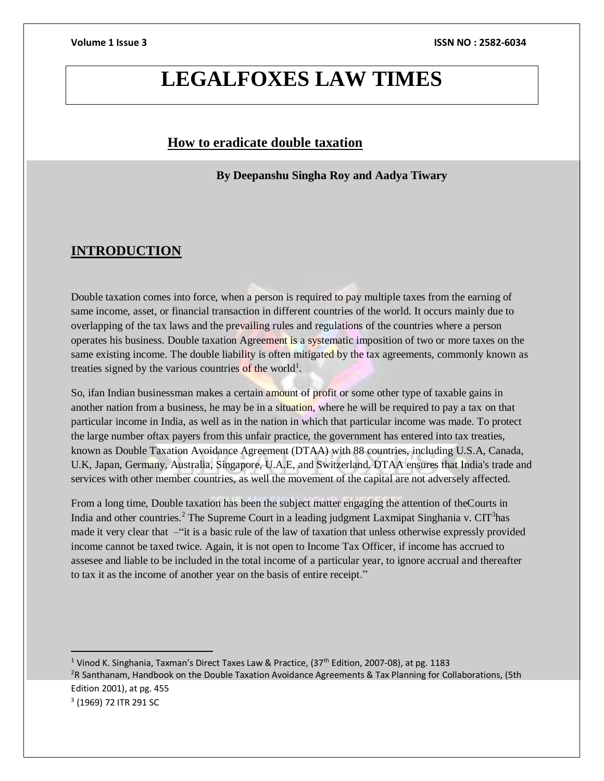# **LEGALFOXES LAW TIMES**

## **How to eradicate double taxation**

**By Deepanshu Singha Roy and Aadya Tiwary**

## **INTRODUCTION**

 $\overline{a}$ 

Double taxation comes into force, when a person is required to pay multiple taxes from the earning of same income, asset, or financial transaction in different countries of the world. It occurs mainly due to overlapping of the tax laws and the prevailing rules and regulations of the countries where a person operates his business. Double taxation Agreement is a systematic imposition of two or more taxes on the same existing income. The double liability is often mitigated by the tax agreements, commonly known as treaties signed by the various countries of the world<sup>1</sup>.

So, ifan Indian businessman makes a certain amount of profit or some other type of taxable gains in another nation from a business, he may be in a situation, where he will be required to pay a tax on that particular income in India, as well as in the nation in which that particular income was made. To protect the large number oftax payers from this unfair practice, the government has entered into tax treaties, known as Double Taxation Avoidance Agreement (DTAA) with 88 countries, including U.S.A, Canada, U.K, Japan, Germany, Australia, Singapore, U.A.E, and Switzerland. DTAA ensures that India's trade and services with other member countries, as well the movement of the capital are not adversely affected.

From a long time, Double taxation has been the subject matter engaging the attention of theCourts in India and other countries.<sup>2</sup> The Supreme Court in a leading judgment Laxmipat Singhania v. CIT<sup>3</sup>has made it very clear that –"it is a basic rule of the law of taxation that unless otherwise expressly provided income cannot be taxed twice. Again, it is not open to Income Tax Officer, if income has accrued to assesee and liable to be included in the total income of a particular year, to ignore accrual and thereafter to tax it as the income of another year on the basis of entire receipt."

<sup>1</sup> Vinod K. Singhania, Taxman's Direct Taxes Law & Practice, (37<sup>th</sup> Edition, 2007-08), at pg. 1183 <sup>2</sup>R Santhanam, Handbook on the Double Taxation Avoidance Agreements & Tax Planning for Collaborations, (5th Edition 2001), at pg. 455 <sup>3</sup> (1969) 72 ITR 291 SC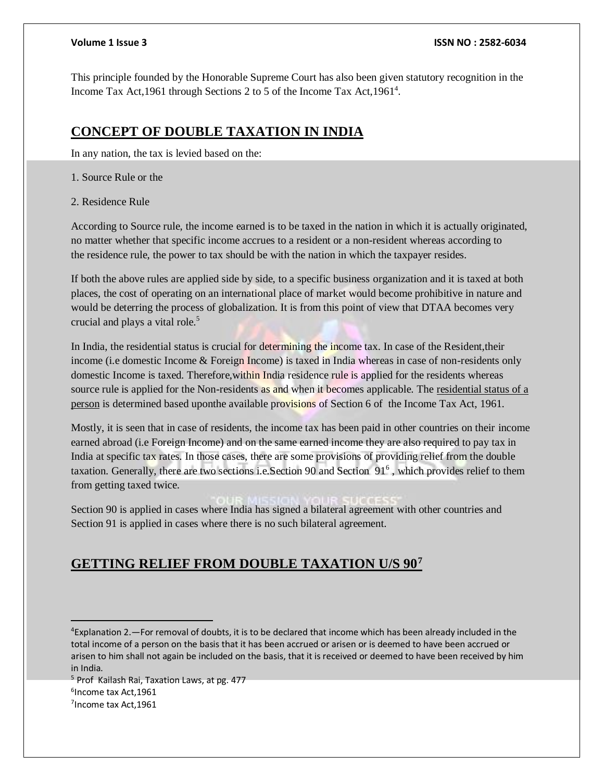This principle founded by the Honorable Supreme Court has also been given statutory recognition in the Income Tax Act, 1961 through Sections 2 to 5 of the Income Tax Act, 1961<sup>4</sup>.

## **CONCEPT OF DOUBLE TAXATION IN INDIA**

In any nation, the tax is levied based on the:

1. Source Rule or the

2. Residence Rule

According to Source rule, the income earned is to be taxed in the nation in which it is actually originated, no matter whether that specific income accrues to a resident or a non-resident whereas according to the residence rule, the power to tax should be with the nation in which the taxpayer resides.

If both the above rules are applied side by side, to a specific business organization and it is taxed at both places, the cost of operating on an international place of market would become prohibitive in nature and would be deterring the process of globalization. It is from this point of view that DTAA becomes very crucial and plays a vital role.<sup>5</sup>

In India, the residential status is crucial for determining the income tax. In case of the Resident,their income (i.e domestic Income & Foreign Income) is taxed in India whereas in case of non-residents only domestic Income is taxed. Therefore,within India residence rule is applied for the residents whereas source rule is applied for the Non-residents as and when it becomes applicable. The [residential status of a](https://taxguru.in/income-tax/hhow-residential-status-individual-huf-firm-company-income-tax-act.html)  [person](https://taxguru.in/income-tax/hhow-residential-status-individual-huf-firm-company-income-tax-act.html) is determined based uponthe available provisions of Section 6 of the Income Tax Act, 1961.

Mostly, it is seen that in case of residents, the income tax has been paid in other countries on their income earned abroad (i.e Foreign Income) and on the same earned income they are also required to pay tax in India at specific tax rates. In those cases, there are some provisions of providing relief from the double taxation. Generally, there are two sections i.e. Section 90 and Section 91<sup>6</sup>, which provides relief to them from getting taxed twice.

Section 90 is applied in cases where India has signed a bilateral agreement with other countries and Section 91 is applied in cases where there is no such bilateral agreement.

## **GETTING RELIEF FROM DOUBLE TAXATION U/S 90<sup>7</sup>**

<sup>5</sup> Prof Kailash Rai, Taxation Laws, at pg. 477 6 Income tax Act,1961 <sup>7</sup>Income tax Act,1961

<sup>4</sup>Explanation 2.—For removal of doubts, it is to be declared that income which has been already included in the total income of a person on the basis that it has been accrued or arisen or is deemed to have been accrued or arisen to him shall not again be included on the basis, that it is received or deemed to have been received by him in India.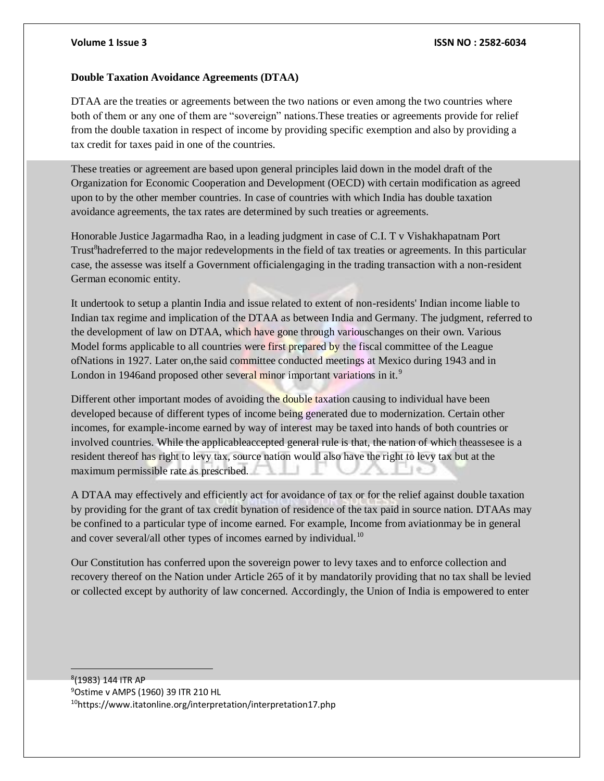### **Volume 1 Issue 3 ISSN NO : 2582-6034**

### **Double Taxation Avoidance Agreements (DTAA)**

DTAA are the treaties or agreements between the two nations or even among the two countries where both of them or any one of them are "sovereign" nations.These treaties or agreements provide for relief from the double taxation in respect of income by providing specific exemption and also by providing a tax credit for taxes paid in one of the countries.

These treaties or agreement are based upon general principles laid down in the model draft of the Organization for Economic Cooperation and Development (OECD) with certain modification as agreed upon to by the other member countries. In case of countries with which India has double taxation avoidance agreements, the tax rates are determined by such treaties or agreements.

Honorable Justice Jagarmadha Rao, in a leading judgment in case of C.I. T v Vishakhapatnam Port Trust<sup>8</sup>hadreferred to the major redevelopments in the field of tax treaties or agreements. In this particular case, the assesse was itself a Government officialengaging in the trading transaction with a non-resident German economic entity.

It undertook to setup a plantin India and issue related to extent of non-residents' Indian income liable to Indian tax regime and implication of the DTAA as between India and Germany. The judgment, referred to the development of law on DTAA, which have gone through variouschanges on their own. Various Model forms applicable to all countries were first prepared by the fiscal committee of the League ofNations in 1927. Later on,the said committee conducted meetings at Mexico during 1943 and in London in 1946and proposed other several minor important variations in it.<sup>9</sup>

Different other important modes of avoiding the double taxation causing to individual have been developed because of different types of income being generated due to modernization. Certain other incomes, for example-income earned by way of interest may be taxed into hands of both countries or involved countries. While the applicableaccepted general rule is that, the nation of which theassesee is a resident thereof has right to levy tax, source nation would also have the right to levy tax but at the maximum permissible rate as prescribed.

A DTAA may effectively and efficiently act for avoidance of tax or for the relief against double taxation by providing for the grant of tax credit bynation of residence of the tax paid in source nation. DTAAs may be confined to a particular type of income earned. For example, Income from aviationmay be in general and cover several/all other types of incomes earned by individual.<sup>10</sup>

Our Constitution has conferred upon the sovereign power to levy taxes and to enforce collection and recovery thereof on the Nation under Article 265 of it by mandatorily providing that no tax shall be levied or collected except by authority of law concerned. Accordingly, the Union of India is empowered to enter

 (1983) 144 ITR AP Ostime v AMPS (1960) 39 ITR 210 HL https://www.itatonline.org/interpretation/interpretation17.php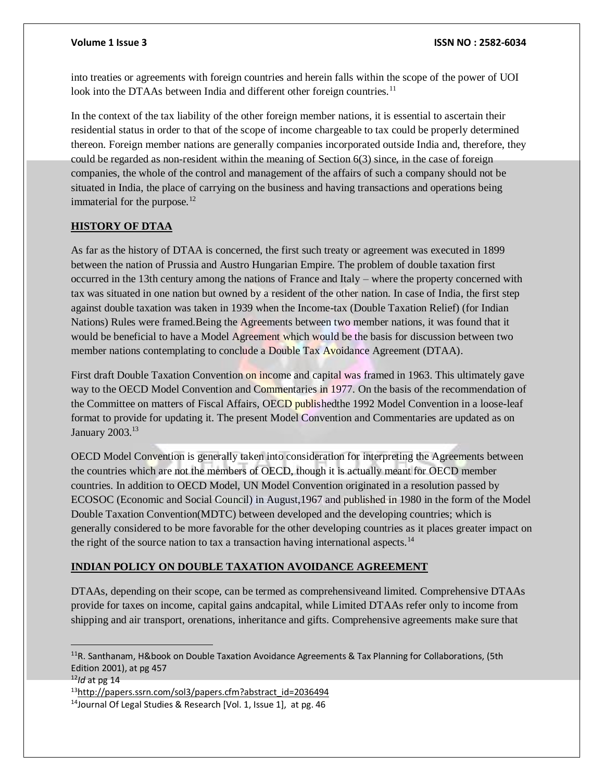into treaties or agreements with foreign countries and herein falls within the scope of the power of UOI look into the DTAAs between India and different other foreign countries.<sup>11</sup>

In the context of the tax liability of the other foreign member nations, it is essential to ascertain their residential status in order to that of the scope of income chargeable to tax could be properly determined thereon. Foreign member nations are generally companies incorporated outside India and, therefore, they could be regarded as non-resident within the meaning of Section 6(3) since, in the case of foreign companies, the whole of the control and management of the affairs of such a company should not be situated in India, the place of carrying on the business and having transactions and operations being immaterial for the purpose. $^{12}$ 

### **HISTORY OF DTAA**

As far as the history of DTAA is concerned, the first such treaty or agreement was executed in 1899 between the nation of Prussia and Austro Hungarian Empire. The problem of double taxation first occurred in the 13th century among the nations of France and Italy – where the property concerned with tax was situated in one nation but owned by a resident of the other nation. In case of India, the first step against double taxation was taken in 1939 when the Income-tax (Double Taxation Relief) (for Indian Nations) Rules were framed.Being the Agreements between two member nations, it was found that it would be beneficial to have a Model Agreement which would be the basis for discussion between two member nations contemplating to conclude a Double Tax Avoidance Agreement (DTAA).

First draft Double Taxation Convention on income and capital was framed in 1963. This ultimately gave way to the OECD Model Convention and Commentaries in 1977. On the basis of the recommendation of the Committee on matters of Fiscal Affairs, OECD published the 1992 Model Convention in a loose-leaf format to provide for updating it. The present Model Convention and Commentaries are updated as on January 2003.<sup>13</sup>

OECD Model Convention is generally taken into consideration for interpreting the Agreements between the countries which are not the members of OECD, though it is actually meant for OECD member countries. In addition to OECD Model, UN Model Convention originated in a resolution passed by ECOSOC (Economic and Social Council) in August,1967 and published in 1980 in the form of the Model Double Taxation Convention(MDTC) between developed and the developing countries; which is generally considered to be more favorable for the other developing countries as it places greater impact on the right of the source nation to tax a transaction having international aspects.<sup>14</sup>

### **INDIAN POLICY ON DOUBLE TAXATION AVOIDANCE AGREEMENT**

DTAAs, depending on their scope, can be termed as comprehensiveand limited. Comprehensive DTAAs provide for taxes on income, capital gains andcapital, while Limited DTAAs refer only to income from shipping and air transport, orenations, inheritance and gifts. Comprehensive agreements make sure that

 $\overline{a}$ 

<sup>&</sup>lt;sup>11</sup>R. Santhanam, H&book on Double Taxation Avoidance Agreements & Tax Planning for Collaborations, (5th Edition 2001), at pg 457

<sup>12</sup>*Id* at pg 14

<sup>13</sup>http://papers.ssrn.com/sol3/papers.cfm?abstract\_id=2036494

<sup>&</sup>lt;sup>14</sup>Journal Of Legal Studies & Research [Vol. 1, Issue 1], at pg. 46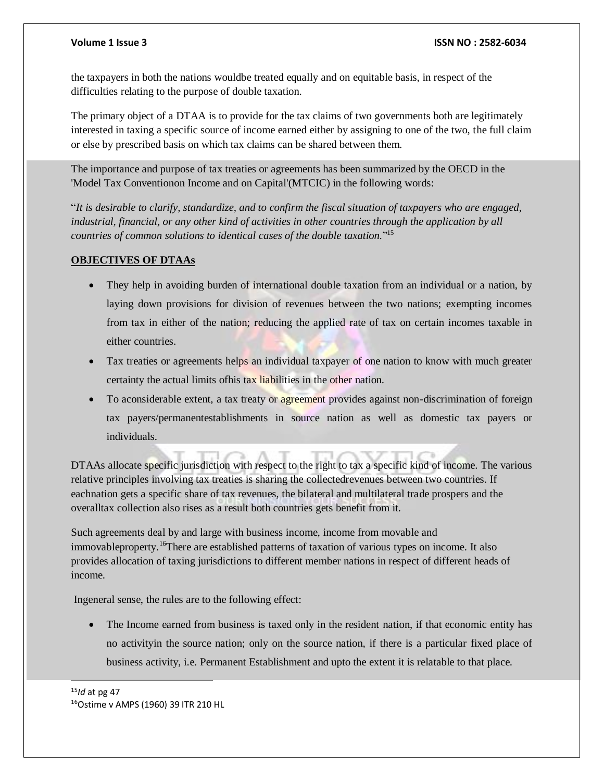the taxpayers in both the nations wouldbe treated equally and on equitable basis, in respect of the difficulties relating to the purpose of double taxation.

The primary object of a DTAA is to provide for the tax claims of two governments both are legitimately interested in taxing a specific source of income earned either by assigning to one of the two, the full claim or else by prescribed basis on which tax claims can be shared between them.

The importance and purpose of tax treaties or agreements has been summarized by the OECD in the 'Model Tax Conventionon Income and on Capital'(MTCIC) in the following words:

"*It is desirable to clarify, standardize, and to confirm the fiscal situation of taxpayers who are engaged, industrial, financial, or any other kind of activities in other countries through the application by all countries of common solutions to identical cases of the double taxation.*" 15

### **OBJECTIVES OF DTAAs**

- They help in avoiding burden of international double taxation from an individual or a nation, by laying down provisions for division of revenues between the two nations; exempting incomes from tax in either of the nation; reducing the applied rate of tax on certain incomes taxable in either countries.
- Tax treaties or agreements helps an individual taxpayer of one nation to know with much greater certainty the actual limits ofhis tax liabilities in the other nation.
- To aconsiderable extent, a tax treaty or agreement provides against non-discrimination of foreign tax payers/permanentestablishments in source nation as well as domestic tax payers or individuals.

DTAAs allocate specific jurisdiction with respect to the right to tax a specific kind of income. The various relative principles involving tax treaties is sharing the collectedrevenues between two countries. If eachnation gets a specific share of tax revenues, the bilateral and multilateral trade prospers and the overalltax collection also rises as a result both countries gets benefit from it.

Such agreements deal by and large with business income, income from movable and immovableproperty.<sup>16</sup>There are established patterns of taxation of various types on income. It also provides allocation of taxing jurisdictions to different member nations in respect of different heads of income.

Ingeneral sense, the rules are to the following effect:

• The Income earned from business is taxed only in the resident nation, if that economic entity has no activityin the source nation; only on the source nation, if there is a particular fixed place of business activity, i.e. Permanent Establishment and upto the extent it is relatable to that place.

<sup>15</sup>*Id* at pg 47 16Ostime v AMPS (1960) 39 ITR 210 HL

l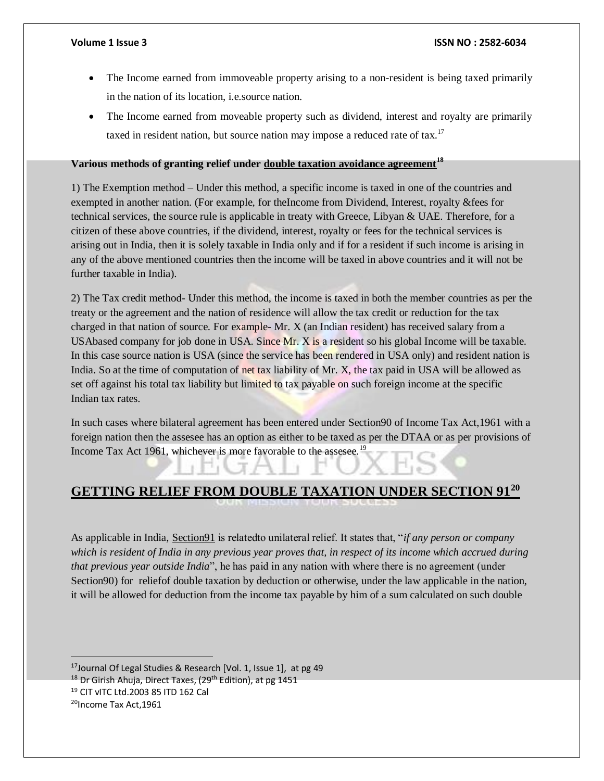- The Income earned from immoveable property arising to a non-resident is being taxed primarily in the nation of its location, i.e.source nation.
- The Income earned from moveable property such as dividend, interest and royalty are primarily taxed in resident nation, but source nation may impose a reduced rate of tax.<sup>17</sup>

### **Various methods of granting relief under [double taxation avoidance agreement](https://taxguru.in/income-tax/double-taxation-avoidance-agreement.html)<sup>18</sup>**

1) The Exemption method – Under this method, a specific income is taxed in one of the countries and exempted in another nation. (For example, for theIncome from Dividend, Interest, royalty &fees for technical services, the source rule is applicable in treaty with Greece, Libyan & UAE. Therefore, for a citizen of these above countries, if the dividend, interest, royalty or fees for the technical services is arising out in India, then it is solely taxable in India only and if for a resident if such income is arising in any of the above mentioned countries then the income will be taxed in above countries and it will not be further taxable in India).

2) The Tax credit method- Under this method, the income is taxed in both the member countries as per the treaty or the agreement and the nation of residence will allow the tax credit or reduction for the tax charged in that nation of source. For example- Mr. X (an Indian resident) has received salary from a USAbased company for job done in USA. Since Mr. X is a resident so his global Income will be taxable. In this case source nation is USA (since the service has been rendered in USA only) and resident nation is India. So at the time of computation of net tax liability of Mr. X, the tax paid in USA will be allowed as set off against his total tax liability but limited to tax payable on such foreign income at the specific Indian tax rates.

In such cases where bilateral agreement has been entered under Section90 of Income Tax Act,1961 with a foreign nation then the assesee has an option as either to be taxed as per the DTAA or as per provisions of Income Tax Act 1961, whichever is more favorable to the assesee.<sup>19</sup>

## **GETTING RELIEF FROM DOUBLE TAXATION UNDER SECTION 91<sup>20</sup>**

As applicable in India, [Section91](https://archive.india.gov.in/business/outerwin.php?id=http://law.incometaxindia.gov.in/DitTaxmann/IncomeTaxActs/2008ITAct/sec_091.htm) is relatedto unilateral relief. It states that, "*if any person or company which is resident of India in any previous year proves that, in respect of its income which accrued during that previous year outside India*", he has paid in any nation with where there is no agreement (under Section<sub>90</sub>) for reliefof double taxation by deduction or otherwise, under the law applicable in the nation, it will be allowed for deduction from the income tax payable by him of a sum calculated on such double

 <sup>17</sup>Journal Of Legal Studies & Research [Vol. 1, Issue 1], at pg 49

<sup>&</sup>lt;sup>18</sup> Dr Girish Ahuja, Direct Taxes, (29<sup>th</sup> Edition), at pg 1451

<sup>19</sup> CIT vITC Ltd.2003 85 ITD 162 Cal

<sup>&</sup>lt;sup>20</sup>Income Tax Act, 1961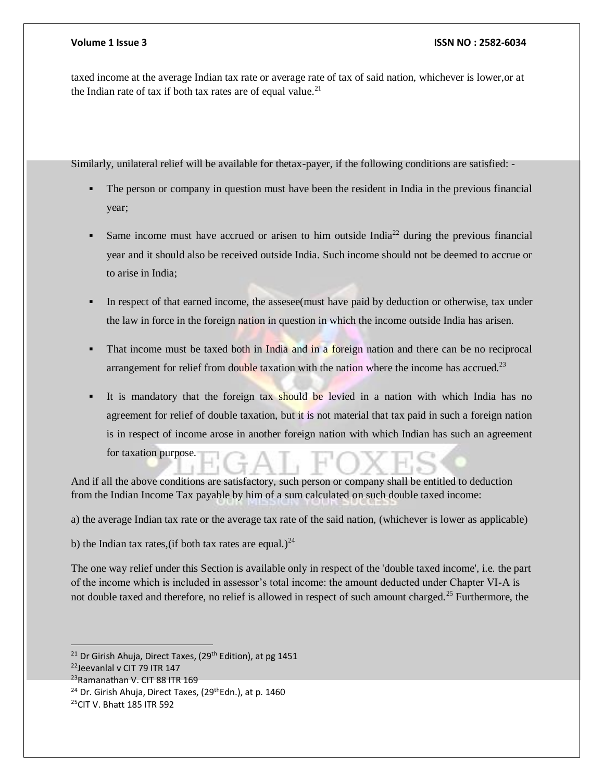### **Volume 1 Issue 3 ISSN NO : 2582-6034**

taxed income at the average Indian tax rate or average rate of tax of said nation, whichever is lower,or at the Indian rate of tax if both tax rates are of equal value.<sup>21</sup>

Similarly, unilateral relief will be available for thetax-payer, if the following conditions are satisfied: -

- The person or company in question must have been the resident in India in the previous financial year;
- Same income must have accrued or arisen to him outside India<sup>22</sup> during the previous financial year and it should also be received outside India. Such income should not be deemed to accrue or to arise in India;
- In respect of that earned income, the assesee(must have paid by deduction or otherwise, tax under the law in force in the foreign nation in question in which the income outside India has arisen.
- That income must be taxed both in India and in a foreign nation and there can be no reciprocal arrangement for relief from double taxation with the nation where the income has accrued.<sup>23</sup>
- It is mandatory that the foreign tax should be levied in a nation with which India has no agreement for relief of double taxation, but it is not material that tax paid in such a foreign nation is in respect of income arose in another foreign nation with which Indian has such an agreement for taxation purpose.

And if all the above conditions are satisfactory, such person or company shall be entitled to deduction from the Indian Income Tax payable by him of a sum calculated on such double taxed income:

a) the average Indian tax rate or the average tax rate of the said nation, (whichever is lower as applicable)

b) the Indian tax rates, (if both tax rates are equal.)<sup>24</sup>

The one way relief under this Section is available only in respect of the 'double taxed income', i.e. the part of the income which is included in assessor's total income: the amount deducted under Chapter VI-A is not double taxed and therefore, no relief is allowed in respect of such amount charged.<sup>25</sup> Furthermore, the

 $\overline{a}$ 

<sup>24</sup> Dr. Girish Ahuja, Direct Taxes, (29<sup>th</sup>Edn.), at p. 1460

<sup>&</sup>lt;sup>21</sup> Dr Girish Ahuja, Direct Taxes, (29<sup>th</sup> Edition), at pg 1451

<sup>22</sup>Jeevanlal v CIT 79 ITR 147

<sup>&</sup>lt;sup>23</sup>Ramanathan V. CIT 88 ITR 169

<sup>25</sup>CIT V. Bhatt 185 ITR 592